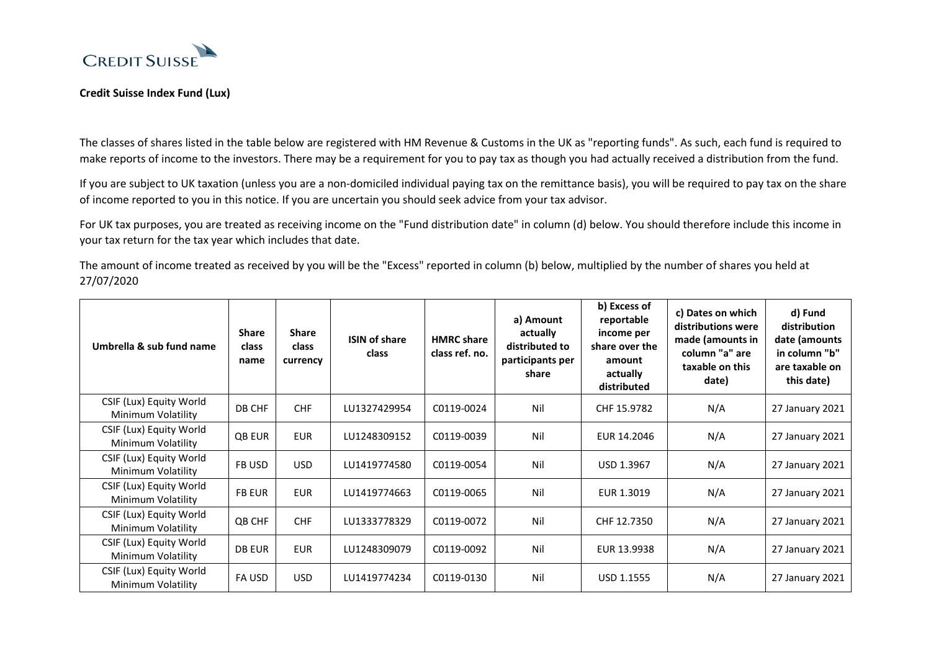

## **Credit Suisse Index Fund (Lux)**

The classes of shares listed in the table below are registered with HM Revenue & Customs in the UK as "reporting funds". As such, each fund is required to make reports of income to the investors. There may be a requirement for you to pay tax as though you had actually received a distribution from the fund.

If you are subject to UK taxation (unless you are a non-domiciled individual paying tax on the remittance basis), you will be required to pay tax on the share of income reported to you in this notice. If you are uncertain you should seek advice from your tax advisor.

For UK tax purposes, you are treated as receiving income on the "Fund distribution date" in column (d) below. You should therefore include this income in your tax return for the tax year which includes that date.

The amount of income treated as received by you will be the "Excess" reported in column (b) below, multiplied by the number of shares you held at 27/07/2020

| Umbrella & sub fund name                      | <b>Share</b><br>class<br>name | <b>Share</b><br>class<br>currency | <b>ISIN of share</b><br>class | <b>HMRC</b> share<br>class ref. no. | a) Amount<br>actually<br>distributed to<br>participants per<br>share | b) Excess of<br>reportable<br>income per<br>share over the<br>amount<br>actually<br>distributed | c) Dates on which<br>distributions were<br>made (amounts in<br>column "a" are<br>taxable on this<br>date) | d) Fund<br>distribution<br>date (amounts<br>in column "b"<br>are taxable on<br>this date) |
|-----------------------------------------------|-------------------------------|-----------------------------------|-------------------------------|-------------------------------------|----------------------------------------------------------------------|-------------------------------------------------------------------------------------------------|-----------------------------------------------------------------------------------------------------------|-------------------------------------------------------------------------------------------|
| CSIF (Lux) Equity World<br>Minimum Volatility | DB CHF                        | <b>CHF</b>                        | LU1327429954                  | C0119-0024                          | Nil                                                                  | CHF 15.9782                                                                                     | N/A                                                                                                       | 27 January 2021                                                                           |
| CSIF (Lux) Equity World<br>Minimum Volatility | QB EUR                        | <b>EUR</b>                        | LU1248309152                  | C0119-0039                          | Nil                                                                  | EUR 14.2046                                                                                     | N/A                                                                                                       | 27 January 2021                                                                           |
| CSIF (Lux) Equity World<br>Minimum Volatility | FB USD                        | <b>USD</b>                        | LU1419774580                  | C0119-0054                          | Nil                                                                  | USD 1.3967                                                                                      | N/A                                                                                                       | 27 January 2021                                                                           |
| CSIF (Lux) Equity World<br>Minimum Volatility | <b>FB EUR</b>                 | <b>EUR</b>                        | LU1419774663                  | C0119-0065                          | Nil                                                                  | EUR 1.3019                                                                                      | N/A                                                                                                       | 27 January 2021                                                                           |
| CSIF (Lux) Equity World<br>Minimum Volatility | QB CHF                        | <b>CHF</b>                        | LU1333778329                  | C0119-0072                          | Nil                                                                  | CHF 12.7350                                                                                     | N/A                                                                                                       | 27 January 2021                                                                           |
| CSIF (Lux) Equity World<br>Minimum Volatility | <b>DB EUR</b>                 | <b>EUR</b>                        | LU1248309079                  | C0119-0092                          | Nil                                                                  | EUR 13.9938                                                                                     | N/A                                                                                                       | 27 January 2021                                                                           |
| CSIF (Lux) Equity World<br>Minimum Volatility | FA USD                        | <b>USD</b>                        | LU1419774234                  | C0119-0130                          | Nil                                                                  | <b>USD 1.1555</b>                                                                               | N/A                                                                                                       | 27 January 2021                                                                           |